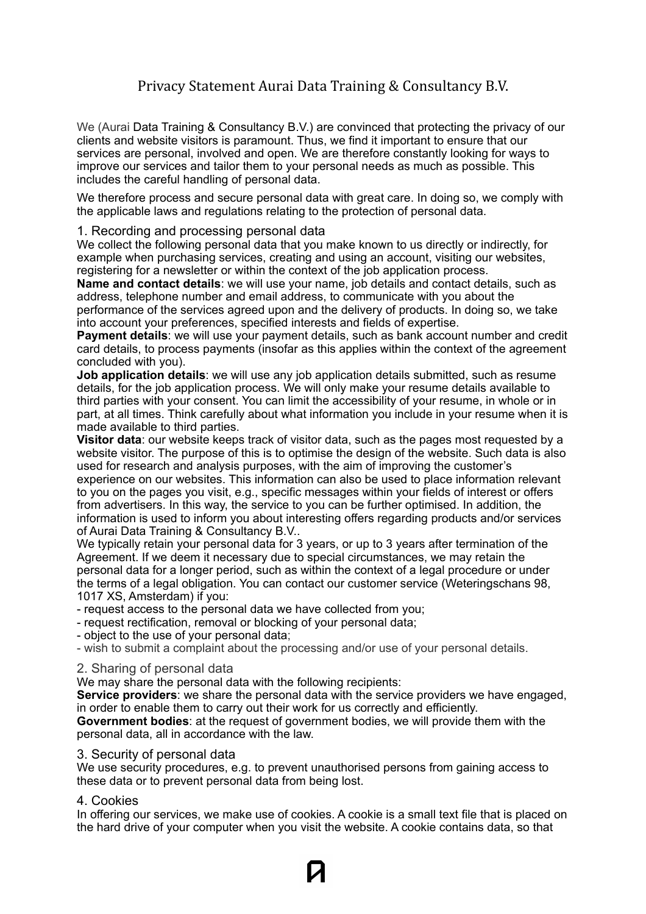# Privacy Statement Aurai Data Training & Consultancy B.V.

We (Aurai Data Training & Consultancy B.V.) are convinced that protecting the privacy of our clients and website visitors is paramount. Thus, we find it important to ensure that our services are personal, involved and open. We are therefore constantly looking for ways to improve our services and tailor them to your personal needs as much as possible. This includes the careful handling of personal data.

We therefore process and secure personal data with great care. In doing so, we comply with the applicable laws and regulations relating to the protection of personal data.

# 1. Recording and processing personal data

We collect the following personal data that you make known to us directly or indirectly, for example when purchasing services, creating and using an account, visiting our websites, registering for a newsletter or within the context of the job application process.

**Name and contact details**: we will use your name, job details and contact details, such as address, telephone number and email address, to communicate with you about the performance of the services agreed upon and the delivery of products. In doing so, we take

into account your preferences, specified interests and fields of expertise.

**Payment details**: we will use your payment details, such as bank account number and credit card details, to process payments (insofar as this applies within the context of the agreement concluded with you).

**Job application details**: we will use any job application details submitted, such as resume details, for the job application process. We will only make your resume details available to third parties with your consent. You can limit the accessibility of your resume, in whole or in part, at all times. Think carefully about what information you include in your resume when it is made available to third parties.

**Visitor data**: our website keeps track of visitor data, such as the pages most requested by a website visitor. The purpose of this is to optimise the design of the website. Such data is also used for research and analysis purposes, with the aim of improving the customer's experience on our websites. This information can also be used to place information relevant to you on the pages you visit, e.g., specific messages within your fields of interest or offers from advertisers. In this way, the service to you can be further optimised. In addition, the information is used to inform you about interesting offers regarding products and/or services of Aurai Data Training & Consultancy B.V..

We typically retain your personal data for 3 years, or up to 3 years after termination of the Agreement. If we deem it necessary due to special circumstances, we may retain the personal data for a longer period, such as within the context of a legal procedure or under the terms of a legal obligation. You can contact our customer service (Weteringschans 98, 1017 XS, Amsterdam) if you:

- request access to the personal data we have collected from you;
- request rectification, removal or blocking of your personal data;
- object to the use of your personal data;
- wish to submit a complaint about the processing and/or use of your personal details.

### 2. Sharing of personal data

We may share the personal data with the following recipients:

**Service providers**: we share the personal data with the service providers we have engaged, in order to enable them to carry out their work for us correctly and efficiently.

**Government bodies**: at the request of government bodies, we will provide them with the personal data, all in accordance with the law.

### 3. Security of personal data

We use security procedures, e.g. to prevent unauthorised persons from gaining access to these data or to prevent personal data from being lost.

# 4. Cookies

In offering our services, we make use of cookies. A cookie is a small text file that is placed on the hard drive of your computer when you visit the website. A cookie contains data, so that